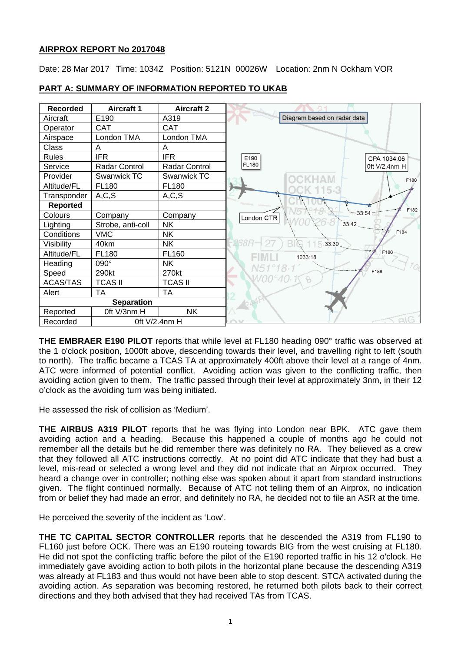# **AIRPROX REPORT No 2017048**

Date: 28 Mar 2017 Time: 1034Z Position: 5121N 00026W Location: 2nm N Ockham VOR



# **PART A: SUMMARY OF INFORMATION REPORTED TO UKAB**

**THE EMBRAER E190 PILOT** reports that while level at FL180 heading 090° traffic was observed at the 1 o'clock position, 1000ft above, descending towards their level, and travelling right to left (south to north). The traffic became a TCAS TA at approximately 400ft above their level at a range of 4nm. ATC were informed of potential conflict. Avoiding action was given to the conflicting traffic, then avoiding action given to them. The traffic passed through their level at approximately 3nm, in their 12 o'clock as the avoiding turn was being initiated.

He assessed the risk of collision as 'Medium'.

**THE AIRBUS A319 PILOT** reports that he was flying into London near BPK. ATC gave them avoiding action and a heading. Because this happened a couple of months ago he could not remember all the details but he did remember there was definitely no RA. They believed as a crew that they followed all ATC instructions correctly. At no point did ATC indicate that they had bust a level, mis-read or selected a wrong level and they did not indicate that an Airprox occurred. They heard a change over in controller; nothing else was spoken about it apart from standard instructions given. The flight continued normally. Because of ATC not telling them of an Airprox, no indication from or belief they had made an error, and definitely no RA, he decided not to file an ASR at the time.

He perceived the severity of the incident as 'Low'.

**THE TC CAPITAL SECTOR CONTROLLER** reports that he descended the A319 from FL190 to FL160 just before OCK. There was an E190 routeing towards BIG from the west cruising at FL180. He did not spot the conflicting traffic before the pilot of the E190 reported traffic in his 12 o'clock. He immediately gave avoiding action to both pilots in the horizontal plane because the descending A319 was already at FL183 and thus would not have been able to stop descent. STCA activated during the avoiding action. As separation was becoming restored, he returned both pilots back to their correct directions and they both advised that they had received TAs from TCAS.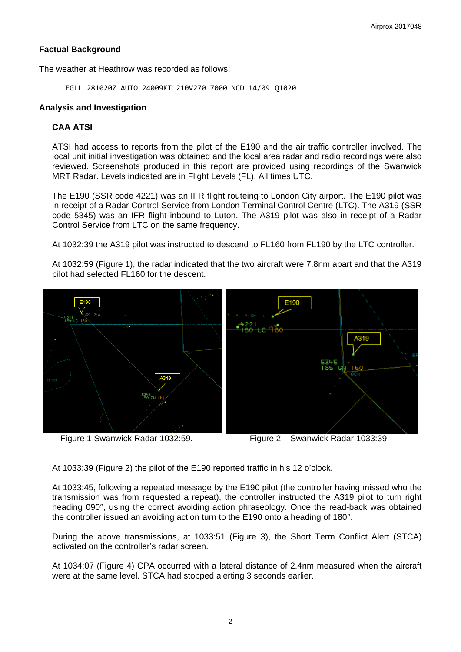# **Factual Background**

The weather at Heathrow was recorded as follows:

EGLL 281020Z AUTO 24009KT 210V270 7000 NCD 14/09 Q1020

### **Analysis and Investigation**

# **CAA ATSI**

ATSI had access to reports from the pilot of the E190 and the air traffic controller involved. The local unit initial investigation was obtained and the local area radar and radio recordings were also reviewed. Screenshots produced in this report are provided using recordings of the Swanwick MRT Radar. Levels indicated are in Flight Levels (FL). All times UTC.

The E190 (SSR code 4221) was an IFR flight routeing to London City airport. The E190 pilot was in receipt of a Radar Control Service from London Terminal Control Centre (LTC). The A319 (SSR code 5345) was an IFR flight inbound to Luton. The A319 pilot was also in receipt of a Radar Control Service from LTC on the same frequency.

At 1032:39 the A319 pilot was instructed to descend to FL160 from FL190 by the LTC controller.

At 1032:59 (Figure 1), the radar indicated that the two aircraft were 7.8nm apart and that the A319 pilot had selected FL160 for the descent.



Figure 1 Swanwick Radar 1032:59. Figure 2 – Swanwick Radar 1033:39.

At 1033:39 (Figure 2) the pilot of the E190 reported traffic in his 12 o'clock.

At 1033:45, following a repeated message by the E190 pilot (the controller having missed who the transmission was from requested a repeat), the controller instructed the A319 pilot to turn right heading 090°, using the correct avoiding action phraseology. Once the read-back was obtained the controller issued an avoiding action turn to the E190 onto a heading of 180°.

During the above transmissions, at 1033:51 (Figure 3), the Short Term Conflict Alert (STCA) activated on the controller's radar screen.

At 1034:07 (Figure 4) CPA occurred with a lateral distance of 2.4nm measured when the aircraft were at the same level. STCA had stopped alerting 3 seconds earlier.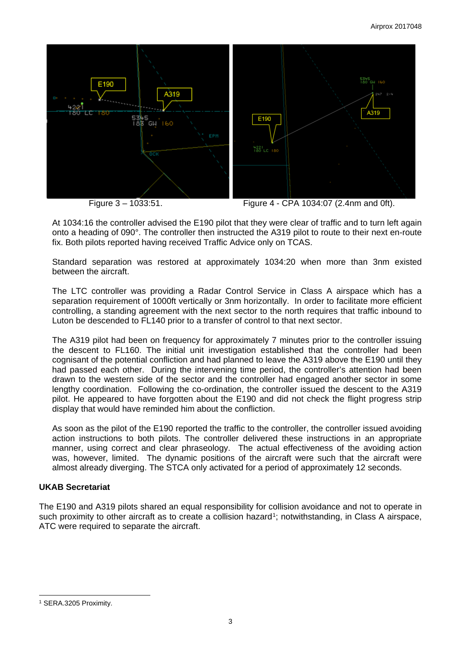

At 1034:16 the controller advised the E190 pilot that they were clear of traffic and to turn left again onto a heading of 090°. The controller then instructed the A319 pilot to route to their next en-route fix. Both pilots reported having received Traffic Advice only on TCAS.

Standard separation was restored at approximately 1034:20 when more than 3nm existed between the aircraft.

The LTC controller was providing a Radar Control Service in Class A airspace which has a separation requirement of 1000ft vertically or 3nm horizontally. In order to facilitate more efficient controlling, a standing agreement with the next sector to the north requires that traffic inbound to Luton be descended to FL140 prior to a transfer of control to that next sector.

The A319 pilot had been on frequency for approximately 7 minutes prior to the controller issuing the descent to FL160. The initial unit investigation established that the controller had been cognisant of the potential confliction and had planned to leave the A319 above the E190 until they had passed each other. During the intervening time period, the controller's attention had been drawn to the western side of the sector and the controller had engaged another sector in some lengthy coordination. Following the co-ordination, the controller issued the descent to the A319 pilot. He appeared to have forgotten about the E190 and did not check the flight progress strip display that would have reminded him about the confliction.

As soon as the pilot of the E190 reported the traffic to the controller, the controller issued avoiding action instructions to both pilots. The controller delivered these instructions in an appropriate manner, using correct and clear phraseology. The actual effectiveness of the avoiding action was, however, limited. The dynamic positions of the aircraft were such that the aircraft were almost already diverging. The STCA only activated for a period of approximately 12 seconds.

# **UKAB Secretariat**

The E190 and A319 pilots shared an equal responsibility for collision avoidance and not to operate in such proximity to other aircraft as to create a collision hazard<sup>[1](#page-2-0)</sup>; notwithstanding, in Class A airspace, ATC were required to separate the aircraft.

 $\overline{a}$ 

<span id="page-2-0"></span><sup>1</sup> SERA.3205 Proximity.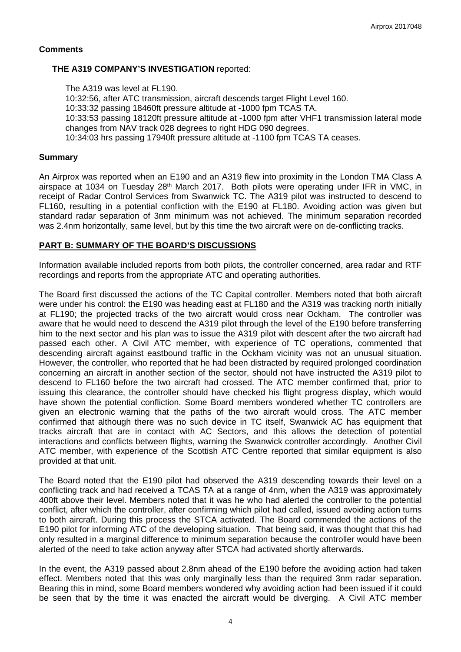#### **Comments**

### **THE A319 COMPANY'S INVESTIGATION** reported:

The A319 was level at FL190. 10:32:56, after ATC transmission, aircraft descends target Flight Level 160. 10:33:32 passing 18460ft pressure altitude at -1000 fpm TCAS TA. 10:33:53 passing 18120ft pressure altitude at -1000 fpm after VHF1 transmission lateral mode changes from NAV track 028 degrees to right HDG 090 degrees. 10:34:03 hrs passing 17940ft pressure altitude at -1100 fpm TCAS TA ceases.

### **Summary**

An Airprox was reported when an E190 and an A319 flew into proximity in the London TMA Class A airspace at 1034 on Tuesday 28<sup>th</sup> March 2017. Both pilots were operating under IFR in VMC, in receipt of Radar Control Services from Swanwick TC. The A319 pilot was instructed to descend to FL160, resulting in a potential confliction with the E190 at FL180. Avoiding action was given but standard radar separation of 3nm minimum was not achieved. The minimum separation recorded was 2.4nm horizontally, same level, but by this time the two aircraft were on de-conflicting tracks.

# **PART B: SUMMARY OF THE BOARD'S DISCUSSIONS**

Information available included reports from both pilots, the controller concerned, area radar and RTF recordings and reports from the appropriate ATC and operating authorities.

The Board first discussed the actions of the TC Capital controller. Members noted that both aircraft were under his control: the E190 was heading east at FL180 and the A319 was tracking north initially at FL190; the projected tracks of the two aircraft would cross near Ockham. The controller was aware that he would need to descend the A319 pilot through the level of the E190 before transferring him to the next sector and his plan was to issue the A319 pilot with descent after the two aircraft had passed each other. A Civil ATC member, with experience of TC operations, commented that descending aircraft against eastbound traffic in the Ockham vicinity was not an unusual situation. However, the controller, who reported that he had been distracted by required prolonged coordination concerning an aircraft in another section of the sector, should not have instructed the A319 pilot to descend to FL160 before the two aircraft had crossed. The ATC member confirmed that, prior to issuing this clearance, the controller should have checked his flight progress display, which would have shown the potential confliction. Some Board members wondered whether TC controllers are given an electronic warning that the paths of the two aircraft would cross. The ATC member confirmed that although there was no such device in TC itself, Swanwick AC has equipment that tracks aircraft that are in contact with AC Sectors, and this allows the detection of potential interactions and conflicts between flights, warning the Swanwick controller accordingly. Another Civil ATC member, with experience of the Scottish ATC Centre reported that similar equipment is also provided at that unit.

The Board noted that the E190 pilot had observed the A319 descending towards their level on a conflicting track and had received a TCAS TA at a range of 4nm, when the A319 was approximately 400ft above their level. Members noted that it was he who had alerted the controller to the potential conflict, after which the controller, after confirming which pilot had called, issued avoiding action turns to both aircraft. During this process the STCA activated. The Board commended the actions of the E190 pilot for informing ATC of the developing situation. That being said, it was thought that this had only resulted in a marginal difference to minimum separation because the controller would have been alerted of the need to take action anyway after STCA had activated shortly afterwards.

In the event, the A319 passed about 2.8nm ahead of the E190 before the avoiding action had taken effect. Members noted that this was only marginally less than the required 3nm radar separation. Bearing this in mind, some Board members wondered why avoiding action had been issued if it could be seen that by the time it was enacted the aircraft would be diverging. A Civil ATC member